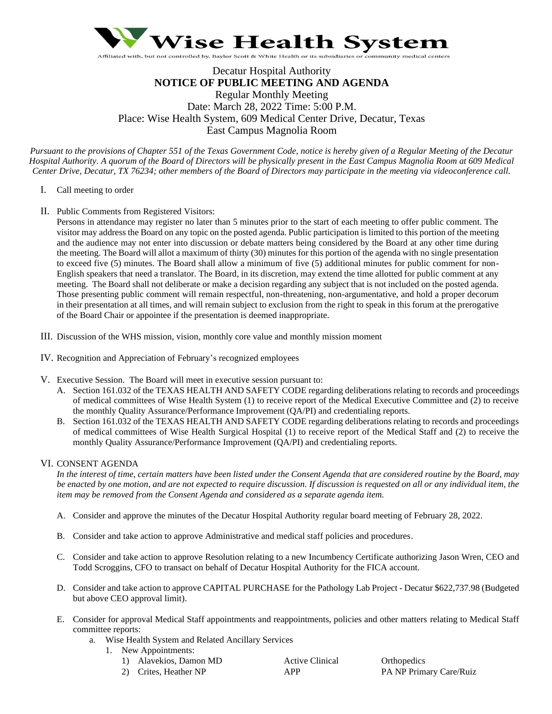

# Decatur Hospital Authority **NOTICE OF PUBLIC MEETING AND AGENDA** Regular Monthly Meeting Date: March 28, 2022 Time: 5:00 P.M. Place: Wise Health System, 609 Medical Center Drive, Decatur, Texas East Campus Magnolia Room

*Pursuant to the provisions of Chapter 551 of the Texas Government Code, notice is hereby given of a Regular Meeting of the Decatur Hospital Authority. A quorum of the Board of Directors will be physically present in the East Campus Magnolia Room at 609 Medical Center Drive, Decatur, TX 76234; other members of the Board of Directors may participate in the meeting via videoconference call.*

- I. Call meeting to order
- II. Public Comments from Registered Visitors:

Persons in attendance may register no later than 5 minutes prior to the start of each meeting to offer public comment. The visitor may address the Board on any topic on the posted agenda. Public participation is limited to this portion of the meeting and the audience may not enter into discussion or debate matters being considered by the Board at any other time during the meeting. The Board will allot a maximum of thirty (30) minutes for this portion of the agenda with no single presentation to exceed five (5) minutes. The Board shall allow a minimum of five (5) additional minutes for public comment for non-English speakers that need a translator. The Board, in its discretion, may extend the time allotted for public comment at any meeting. The Board shall not deliberate or make a decision regarding any subject that is not included on the posted agenda. Those presenting public comment will remain respectful, non-threatening, non-argumentative, and hold a proper decorum in their presentation at all times, and will remain subject to exclusion from the right to speak in this forum at the prerogative of the Board Chair or appointee if the presentation is deemed inappropriate.

- III. Discussion of the WHS mission, vision, monthly core value and monthly mission moment
- IV. Recognition and Appreciation of February's recognized employees
- V. Executive Session. The Board will meet in executive session pursuant to:
	- A. Section 161.032 of the TEXAS HEALTH AND SAFETY CODE regarding deliberations relating to records and proceedings of medical committees of Wise Health System (1) to receive report of the Medical Executive Committee and (2) to receive the monthly Quality Assurance/Performance Improvement (QA/PI) and credentialing reports.
	- B. Section 161.032 of the TEXAS HEALTH AND SAFETY CODE regarding deliberations relating to records and proceedings of medical committees of Wise Health Surgical Hospital (1) to receive report of the Medical Staff and (2) to receive the monthly Quality Assurance/Performance Improvement (QA/PI) and credentialing reports.

# VI. CONSENT AGENDA

*In the interest of time, certain matters have been listed under the Consent Agenda that are considered routine by the Board, may be enacted by one motion, and are not expected to require discussion. If discussion is requested on all or any individual item, the item may be removed from the Consent Agenda and considered as a separate agenda item.* 

- A. Consider and approve the minutes of the Decatur Hospital Authority regular board meeting of February 28, 2022.
- B. Consider and take action to approve Administrative and medical staff policies and procedures.
- C. Consider and take action to approve Resolution relating to a new Incumbency Certificate authorizing Jason Wren, CEO and Todd Scroggins, CFO to transact on behalf of Decatur Hospital Authority for the FICA account.
- D. Consider and take action to approve CAPITAL PURCHASE for the Pathology Lab Project Decatur \$622,737.98 (Budgeted but above CEO approval limit).
- E. Consider for approval Medical Staff appointments and reappointments, policies and other matters relating to Medical Staff committee reports:
	- a. Wise Health System and Related Ancillary Services
		- 1. New Appointments:
			- 1) Alavekios, Damon MD Active Clinical Orthopedics
			- 2) Crites, Heather NP **APP** APP PA NP Primary Care/Ruiz
-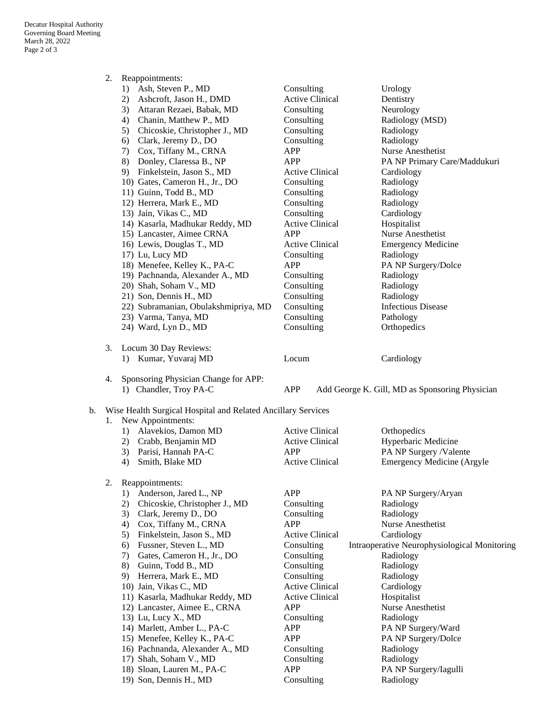|    | 2.                                                                                      | Reappointments:                      |                        |                                                |  |  |  |  |
|----|-----------------------------------------------------------------------------------------|--------------------------------------|------------------------|------------------------------------------------|--|--|--|--|
|    |                                                                                         | Ash, Steven P., MD<br>1)             | Consulting             | Urology                                        |  |  |  |  |
|    |                                                                                         | Ashcroft, Jason H., DMD<br>2)        | <b>Active Clinical</b> | Dentistry                                      |  |  |  |  |
|    |                                                                                         | 3)<br>Attaran Rezaei, Babak, MD      | Consulting             | Neurology                                      |  |  |  |  |
|    |                                                                                         | Chanin, Matthew P., MD<br>4)         | Consulting             | Radiology (MSD)                                |  |  |  |  |
|    |                                                                                         | Chicoskie, Christopher J., MD<br>5)  | Consulting             | Radiology                                      |  |  |  |  |
|    |                                                                                         | Clark, Jeremy D., DO<br>6)           | Consulting             | Radiology                                      |  |  |  |  |
|    |                                                                                         | Cox, Tiffany M., CRNA<br>7)          | APP                    | Nurse Anesthetist                              |  |  |  |  |
|    |                                                                                         | Donley, Claressa B., NP<br>8)        | APP                    | PA NP Primary Care/Maddukuri                   |  |  |  |  |
|    |                                                                                         | Finkelstein, Jason S., MD<br>9)      | <b>Active Clinical</b> | Cardiology                                     |  |  |  |  |
|    |                                                                                         | 10) Gates, Cameron H., Jr., DO       | Consulting             | Radiology                                      |  |  |  |  |
|    |                                                                                         | 11) Guinn, Todd B., MD               | Consulting             | Radiology                                      |  |  |  |  |
|    |                                                                                         | 12) Herrera, Mark E., MD             | Consulting             | Radiology                                      |  |  |  |  |
|    |                                                                                         | 13) Jain, Vikas C., MD               | Consulting             | Cardiology                                     |  |  |  |  |
|    |                                                                                         | 14) Kasarla, Madhukar Reddy, MD      | <b>Active Clinical</b> | Hospitalist                                    |  |  |  |  |
|    |                                                                                         | 15) Lancaster, Aimee CRNA            | <b>APP</b>             | Nurse Anesthetist                              |  |  |  |  |
|    |                                                                                         | 16) Lewis, Douglas T., MD            | <b>Active Clinical</b> | <b>Emergency Medicine</b>                      |  |  |  |  |
|    |                                                                                         | 17) Lu, Lucy MD                      | Consulting             | Radiology                                      |  |  |  |  |
|    |                                                                                         | 18) Menefee, Kelley K., PA-C         | APP                    | PA NP Surgery/Dolce                            |  |  |  |  |
|    |                                                                                         | 19) Pachnanda, Alexander A., MD      | Consulting             | Radiology                                      |  |  |  |  |
|    |                                                                                         | 20) Shah, Soham V., MD               | Consulting             | Radiology                                      |  |  |  |  |
|    |                                                                                         | 21) Son, Dennis H., MD               | Consulting             | Radiology                                      |  |  |  |  |
|    |                                                                                         | 22) Subramanian, Obulakshmipriya, MD | Consulting             | <b>Infectious Disease</b>                      |  |  |  |  |
|    |                                                                                         | 23) Varma, Tanya, MD                 | Consulting             | Pathology                                      |  |  |  |  |
|    |                                                                                         | 24) Ward, Lyn D., MD                 | Consulting             | Orthopedics                                    |  |  |  |  |
|    | 3.                                                                                      | Locum 30 Day Reviews:                |                        |                                                |  |  |  |  |
|    |                                                                                         | 1) Kumar, Yuvaraj MD                 | Locum                  | Cardiology                                     |  |  |  |  |
|    | 4.                                                                                      | Sponsoring Physician Change for APP: |                        |                                                |  |  |  |  |
|    |                                                                                         | 1) Chandler, Troy PA-C               | APP                    | Add George K. Gill, MD as Sponsoring Physician |  |  |  |  |
|    |                                                                                         |                                      |                        |                                                |  |  |  |  |
| b. | Wise Health Surgical Hospital and Related Ancillary Services<br>New Appointments:<br>1. |                                      |                        |                                                |  |  |  |  |
|    |                                                                                         | Alavekios, Damon MD<br>1)            | <b>Active Clinical</b> | Orthopedics                                    |  |  |  |  |
|    |                                                                                         | Crabb, Benjamin MD<br>2)             | <b>Active Clinical</b> | Hyperbaric Medicine                            |  |  |  |  |
|    |                                                                                         | Parisi, Hannah PA-C<br>3)            | APP                    | PA NP Surgery /Valente                         |  |  |  |  |
|    |                                                                                         | Smith, Blake MD<br>4)                | <b>Active Clinical</b> | <b>Emergency Medicine (Argyle</b>              |  |  |  |  |
|    |                                                                                         |                                      |                        |                                                |  |  |  |  |
|    | 2.                                                                                      | Reappointments:                      |                        |                                                |  |  |  |  |
|    |                                                                                         | Anderson, Jared L., NP<br>1)         | APP                    | PA NP Surgery/Aryan                            |  |  |  |  |
|    |                                                                                         | Chicoskie, Christopher J., MD<br>2)  | Consulting             | Radiology                                      |  |  |  |  |
|    |                                                                                         | 3)<br>Clark, Jeremy D., DO           | Consulting             | Radiology                                      |  |  |  |  |
|    |                                                                                         | Cox, Tiffany M., CRNA<br>4)          | <b>APP</b>             | Nurse Anesthetist                              |  |  |  |  |
|    |                                                                                         | Finkelstein, Jason S., MD<br>5)      | <b>Active Clinical</b> | Cardiology                                     |  |  |  |  |
|    |                                                                                         | Fussner, Steven L., MD<br>6)         | Consulting             | Intraoperative Neurophysiological Monitoring   |  |  |  |  |
|    |                                                                                         | 7)<br>Gates, Cameron H., Jr., DO     | Consulting             | Radiology                                      |  |  |  |  |
|    |                                                                                         | 8)<br>Guinn, Todd B., MD             | Consulting             | Radiology                                      |  |  |  |  |
|    |                                                                                         | 9)<br>Herrera, Mark E., MD           | Consulting             | Radiology                                      |  |  |  |  |
|    |                                                                                         | 10) Jain, Vikas C., MD               | <b>Active Clinical</b> | Cardiology                                     |  |  |  |  |
|    |                                                                                         | 11) Kasarla, Madhukar Reddy, MD      | <b>Active Clinical</b> | Hospitalist                                    |  |  |  |  |
|    |                                                                                         | 12) Lancaster, Aimee E., CRNA        | APP                    | Nurse Anesthetist                              |  |  |  |  |
|    |                                                                                         | 13) Lu, Lucy X., MD                  | Consulting             | Radiology                                      |  |  |  |  |
|    |                                                                                         | 14) Marlett, Amber L., PA-C          | APP                    | PA NP Surgery/Ward                             |  |  |  |  |
|    |                                                                                         | 15) Menefee, Kelley K., PA-C         | <b>APP</b>             | PA NP Surgery/Dolce                            |  |  |  |  |
|    |                                                                                         | 16) Pachnanda, Alexander A., MD      | Consulting             | Radiology                                      |  |  |  |  |
|    |                                                                                         | 17) Shah, Soham V., MD               | Consulting             | Radiology                                      |  |  |  |  |
|    |                                                                                         | 18) Sloan, Lauren M., PA-C           | <b>APP</b>             | PA NP Surgery/Iagulli                          |  |  |  |  |
|    |                                                                                         | 19) Son, Dennis H., MD               | Consulting             | Radiology                                      |  |  |  |  |